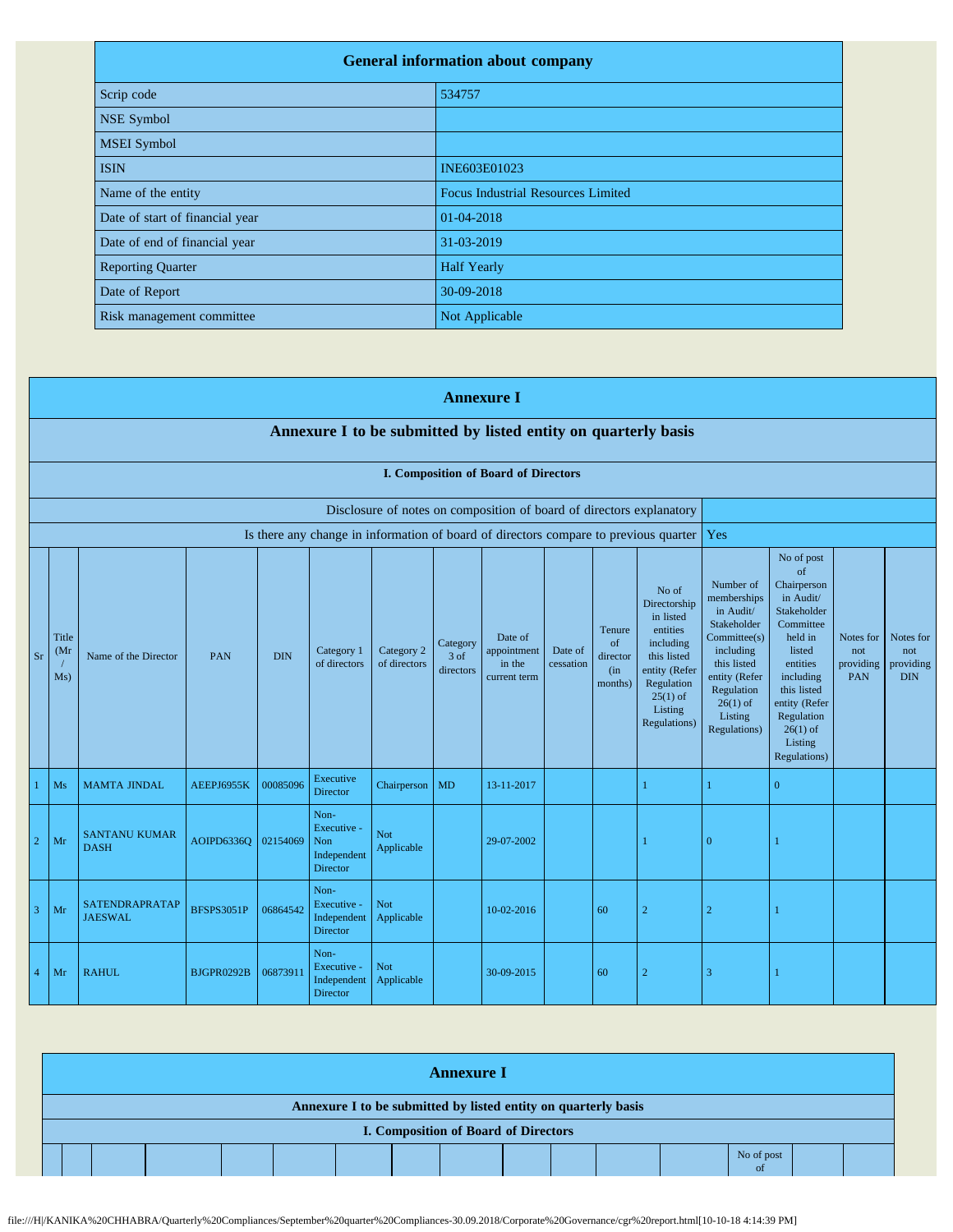| <b>General information about company</b> |                                           |  |  |  |  |  |  |
|------------------------------------------|-------------------------------------------|--|--|--|--|--|--|
| Scrip code                               | 534757                                    |  |  |  |  |  |  |
| <b>NSE Symbol</b>                        |                                           |  |  |  |  |  |  |
| <b>MSEI</b> Symbol                       |                                           |  |  |  |  |  |  |
| <b>ISIN</b>                              | INE603E01023                              |  |  |  |  |  |  |
| Name of the entity                       | <b>Focus Industrial Resources Limited</b> |  |  |  |  |  |  |
| Date of start of financial year          | 01-04-2018                                |  |  |  |  |  |  |
| Date of end of financial year            | 31-03-2019                                |  |  |  |  |  |  |
| <b>Reporting Quarter</b>                 | <b>Half Yearly</b>                        |  |  |  |  |  |  |
| Date of Report                           | 30-09-2018                                |  |  |  |  |  |  |
| Risk management committee                | Not Applicable                            |  |  |  |  |  |  |

|                |                                                                                                                                                                                                                                                                                                                                                                                                                                                       |                                         |                   |          |                                                       |                                                                                                                                                                          |                                                                                                                                                                                                               | <b>Annexure I</b>                                                    |                                             |    |                                                                                      |                |                |  |  |
|----------------|-------------------------------------------------------------------------------------------------------------------------------------------------------------------------------------------------------------------------------------------------------------------------------------------------------------------------------------------------------------------------------------------------------------------------------------------------------|-----------------------------------------|-------------------|----------|-------------------------------------------------------|--------------------------------------------------------------------------------------------------------------------------------------------------------------------------|---------------------------------------------------------------------------------------------------------------------------------------------------------------------------------------------------------------|----------------------------------------------------------------------|---------------------------------------------|----|--------------------------------------------------------------------------------------|----------------|----------------|--|--|
|                | Annexure I to be submitted by listed entity on quarterly basis                                                                                                                                                                                                                                                                                                                                                                                        |                                         |                   |          |                                                       |                                                                                                                                                                          |                                                                                                                                                                                                               |                                                                      |                                             |    |                                                                                      |                |                |  |  |
|                | I. Composition of Board of Directors                                                                                                                                                                                                                                                                                                                                                                                                                  |                                         |                   |          |                                                       |                                                                                                                                                                          |                                                                                                                                                                                                               |                                                                      |                                             |    |                                                                                      |                |                |  |  |
|                |                                                                                                                                                                                                                                                                                                                                                                                                                                                       |                                         |                   |          |                                                       |                                                                                                                                                                          |                                                                                                                                                                                                               | Disclosure of notes on composition of board of directors explanatory |                                             |    |                                                                                      |                |                |  |  |
|                |                                                                                                                                                                                                                                                                                                                                                                                                                                                       |                                         |                   |          |                                                       |                                                                                                                                                                          |                                                                                                                                                                                                               |                                                                      |                                             |    | Is there any change in information of board of directors compare to previous quarter | Yes            |                |  |  |
| Sr             | No of<br>Directorship<br>in listed<br>entities<br>Tenure<br><b>Title</b><br>Date of<br>of<br>including<br>Category<br>Category 1<br>Category 2<br>appointment<br>Date of<br>(Mr)<br><b>DIN</b><br>this listed<br>Name of the Director<br>PAN<br>3 of<br>director<br>of directors<br>of directors<br>in the<br>cessation<br>entity (Refer<br>directors<br>(in<br>Ms)<br>current term<br>months)<br>Regulation<br>$25(1)$ of<br>Listing<br>Regulations) |                                         |                   |          |                                                       | Number of<br>memberships<br>in Audit/<br>Stakeholder<br>Committee(s)<br>including<br>this listed<br>entity (Refer<br>Regulation<br>$26(1)$ of<br>Listing<br>Regulations) | No of post<br>of<br>Chairperson<br>in Audit/<br>Stakeholder<br>Committee<br>held in<br>listed<br>entities<br>including<br>this listed<br>entity (Refer<br>Regulation<br>$26(1)$ of<br>Listing<br>Regulations) | Notes for<br>not<br>providing<br>PAN                                 | Notes for<br>not<br>providing<br><b>DIN</b> |    |                                                                                      |                |                |  |  |
|                | Ms                                                                                                                                                                                                                                                                                                                                                                                                                                                    | <b>MAMTA JINDAL</b>                     | AEEPJ6955K        | 00085096 | Executive<br>Director                                 | Chairperson                                                                                                                                                              | <b>MD</b>                                                                                                                                                                                                     | 13-11-2017                                                           |                                             |    |                                                                                      |                | $\overline{0}$ |  |  |
| $\overline{2}$ | Mr                                                                                                                                                                                                                                                                                                                                                                                                                                                    | <b>SANTANU KUMAR</b><br><b>DASH</b>     | <b>AOIPD6336O</b> | 02154069 | Non-<br>Executive -<br>Non<br>Independent<br>Director | Not<br>Applicable                                                                                                                                                        |                                                                                                                                                                                                               | 29-07-2002                                                           |                                             |    |                                                                                      | $\overline{0}$ |                |  |  |
| -3             | Mr                                                                                                                                                                                                                                                                                                                                                                                                                                                    | <b>SATENDRAPRATAP</b><br><b>JAESWAL</b> | <b>BFSPS3051P</b> | 06864542 | Non-<br>Executive -<br>Independent<br>Director        | <b>Not</b><br>Applicable                                                                                                                                                 |                                                                                                                                                                                                               | 10-02-2016                                                           |                                             | 60 | $\overline{2}$                                                                       | $\overline{2}$ |                |  |  |
| $\overline{4}$ | Mr                                                                                                                                                                                                                                                                                                                                                                                                                                                    | <b>RAHUL</b>                            | BJGPR0292B        | 06873911 | Non-<br>Executive -<br>Independent<br><b>Director</b> | <b>Not</b><br>Applicable                                                                                                                                                 |                                                                                                                                                                                                               | 30-09-2015                                                           |                                             | 60 | $\overline{2}$                                                                       | 3              |                |  |  |

| <b>Annexure I</b>                                              |  |  |  |  |  |  |  |                                             |  |  |  |  |  |  |  |
|----------------------------------------------------------------|--|--|--|--|--|--|--|---------------------------------------------|--|--|--|--|--|--|--|
| Annexure I to be submitted by listed entity on quarterly basis |  |  |  |  |  |  |  |                                             |  |  |  |  |  |  |  |
|                                                                |  |  |  |  |  |  |  | <b>I. Composition of Board of Directors</b> |  |  |  |  |  |  |  |
| No of post<br><sub>ot</sub>                                    |  |  |  |  |  |  |  |                                             |  |  |  |  |  |  |  |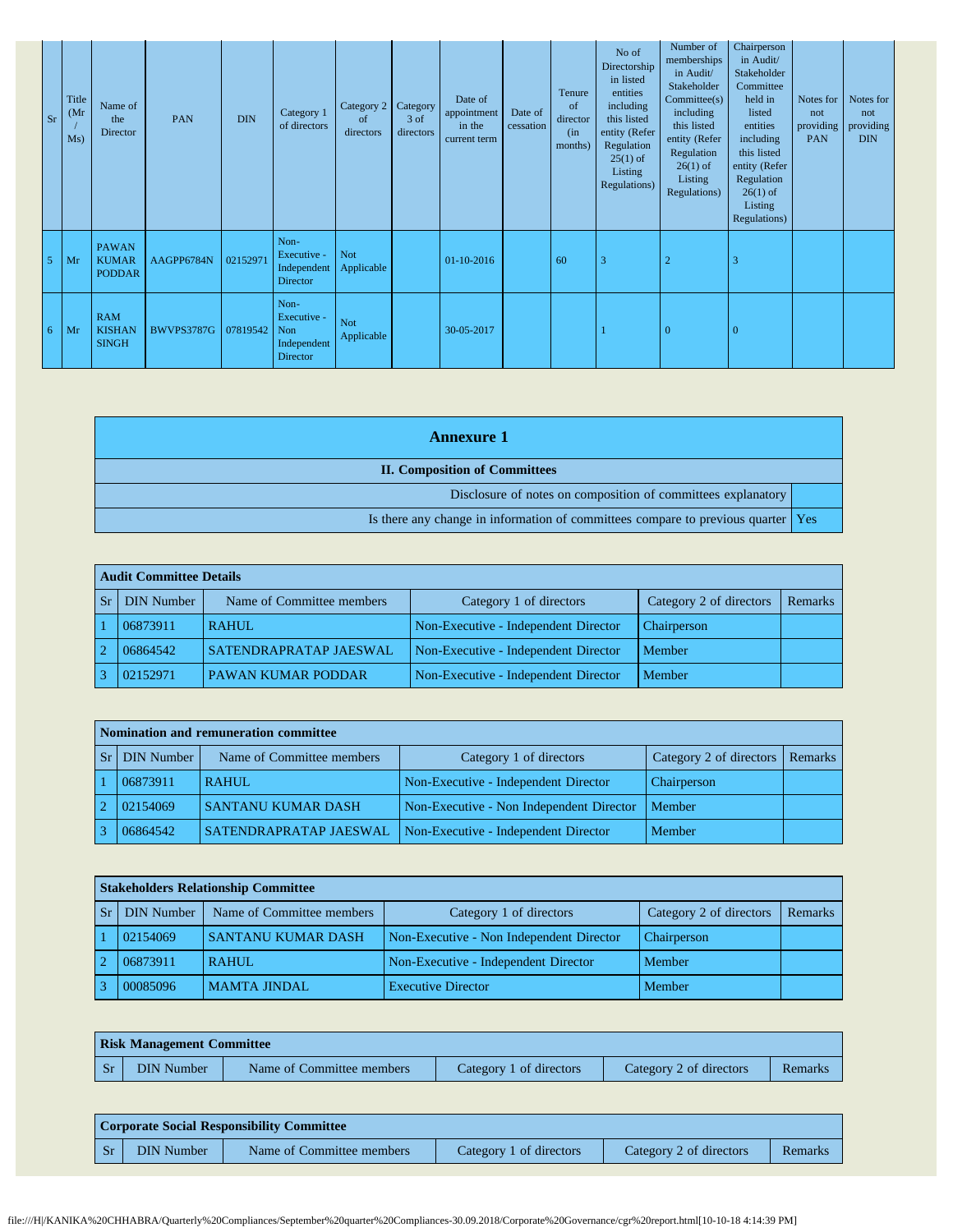| Sr | <b>Title</b><br>(Mr)<br>Ms) | Name of<br>the<br>Director                    | PAN               | DIN      | Category 1<br>of directors                            | Category 2 Category<br><sub>of</sub><br>directors | 3 of<br>directors | Date of<br>appointment<br>in the<br>current term | Date of<br>cessation | Tenure<br>of<br>director<br>(in<br>months) | No of<br>Directorship<br>in listed<br>entities<br>including<br>this listed<br>entity (Refer<br>Regulation<br>$25(1)$ of<br>Listing<br>Regulations) | Number of<br>memberships<br>in Audit/<br>Stakeholder<br>Commitee(s)<br>including<br>this listed<br>entity (Refer<br>Regulation<br>$26(1)$ of<br>Listing<br>Regulations) | Chairperson<br>in Audit/<br>Stakeholder<br>Committee<br>held in<br>listed<br>entities<br>including<br>this listed<br>entity (Refer<br>Regulation<br>$26(1)$ of<br>Listing<br>Regulations) | Notes for<br>not<br>providing<br><b>PAN</b> | Notes for<br>not<br>providing<br><b>DIN</b> |
|----|-----------------------------|-----------------------------------------------|-------------------|----------|-------------------------------------------------------|---------------------------------------------------|-------------------|--------------------------------------------------|----------------------|--------------------------------------------|----------------------------------------------------------------------------------------------------------------------------------------------------|-------------------------------------------------------------------------------------------------------------------------------------------------------------------------|-------------------------------------------------------------------------------------------------------------------------------------------------------------------------------------------|---------------------------------------------|---------------------------------------------|
| 5  | Mr                          | <b>PAWAN</b><br><b>KUMAR</b><br><b>PODDAR</b> | AAGPP6784N        | 02152971 | Non-<br>Executive -<br>Independent<br>Director        | Not<br>Applicable                                 |                   | 01-10-2016                                       |                      | 60                                         | 3                                                                                                                                                  | $\overline{2}$                                                                                                                                                          | 3                                                                                                                                                                                         |                                             |                                             |
| 6  | Mr                          | <b>RAM</b><br><b>KISHAN</b><br><b>SINGH</b>   | <b>BWVPS3787G</b> | 07819542 | Non-<br>Executive -<br>Non<br>Independent<br>Director | Not<br>Applicable                                 |                   | 30-05-2017                                       |                      |                                            |                                                                                                                                                    | $\overline{0}$                                                                                                                                                          | $\overline{0}$                                                                                                                                                                            |                                             |                                             |

| <b>Annexure</b> 1                                                                  |  |
|------------------------------------------------------------------------------------|--|
| <b>II. Composition of Committees</b>                                               |  |
| Disclosure of notes on composition of committees explanatory                       |  |
| Is there any change in information of committees compare to previous quarter   Yes |  |

|                | Audit Committee Details |                               |                                      |                         |         |  |  |  |  |  |  |
|----------------|-------------------------|-------------------------------|--------------------------------------|-------------------------|---------|--|--|--|--|--|--|
| <b>Sr</b>      | <b>DIN</b> Number       | Name of Committee members     | Category 1 of directors              | Category 2 of directors | Remarks |  |  |  |  |  |  |
|                | 06873911                | <b>RAHUL</b>                  | Non-Executive - Independent Director | Chairperson             |         |  |  |  |  |  |  |
| $\overline{2}$ | 06864542                | <b>SATENDRAPRATAP JAESWAL</b> | Non-Executive - Independent Director | Member                  |         |  |  |  |  |  |  |
|                | 02152971                | <b>PAWAN KUMAR PODDAR</b>     | Non-Executive - Independent Director | Member                  |         |  |  |  |  |  |  |

|            | Nomination and remuneration committee |                           |                                          |                                 |  |  |  |  |  |  |  |  |
|------------|---------------------------------------|---------------------------|------------------------------------------|---------------------------------|--|--|--|--|--|--|--|--|
| Sr         | <b>DIN</b> Number                     | Name of Committee members | Category 1 of directors                  | Category 2 of directors Remarks |  |  |  |  |  |  |  |  |
|            | 06873911                              | <b>RAHUL</b>              | Non-Executive - Independent Director     | Chairperson                     |  |  |  |  |  |  |  |  |
| $\sqrt{2}$ | 02154069                              | <b>SANTANU KUMAR DASH</b> | Non-Executive - Non Independent Director | Member                          |  |  |  |  |  |  |  |  |
|            | 06864542                              | SATENDRAPRATAP JAESWAL    | Non-Executive - Independent Director     | Member                          |  |  |  |  |  |  |  |  |

| <b>Stakeholders Relationship Committee</b> |                           |                                          |                         |         |  |  |  |  |  |  |
|--------------------------------------------|---------------------------|------------------------------------------|-------------------------|---------|--|--|--|--|--|--|
| <b>DIN Number</b>                          | Name of Committee members | Category 1 of directors                  | Category 2 of directors | Remarks |  |  |  |  |  |  |
| 02154069                                   | <b>SANTANU KUMAR DASH</b> | Non-Executive - Non Independent Director | <b>Chairperson</b>      |         |  |  |  |  |  |  |
| 06873911                                   | <b>RAHUL</b>              | Non-Executive - Independent Director     | Member                  |         |  |  |  |  |  |  |
| 00085096                                   | <b>MAMTA JINDAL</b>       | <b>Executive Director</b>                | Member                  |         |  |  |  |  |  |  |

| <b>Risk Management Committee</b> |                           |                         |                         |         |  |  |  |  |  |  |
|----------------------------------|---------------------------|-------------------------|-------------------------|---------|--|--|--|--|--|--|
| <b>DIN</b> Number                | Name of Committee members | Category 1 of directors | Category 2 of directors | Remarks |  |  |  |  |  |  |

|    | <b>Corporate Social Responsibility Committee</b> |                           |                         |                         |         |  |  |  |  |  |
|----|--------------------------------------------------|---------------------------|-------------------------|-------------------------|---------|--|--|--|--|--|
| Sr | DIN Number                                       | Name of Committee members | Category 1 of directors | Category 2 of directors | Remarks |  |  |  |  |  |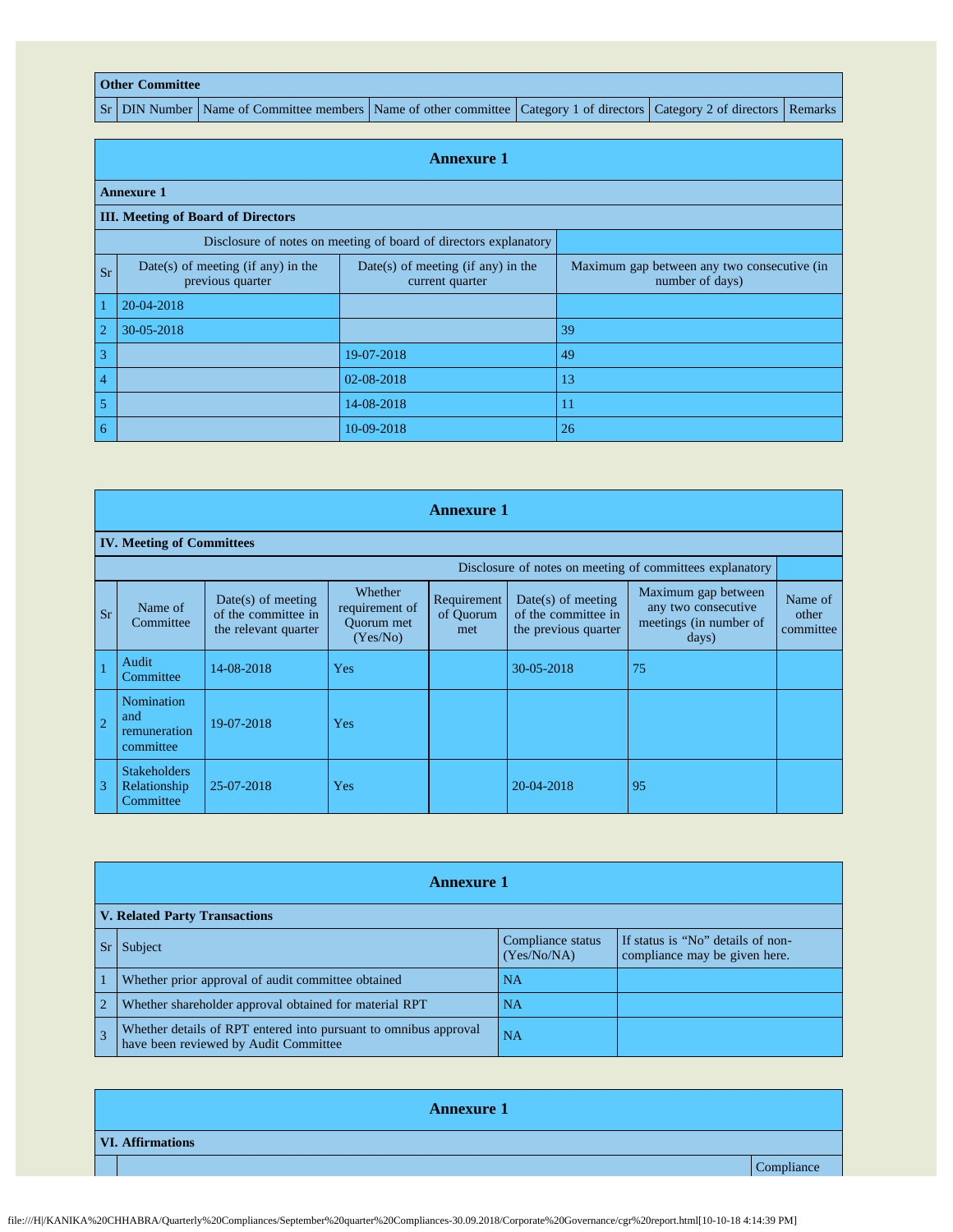## **Other Committee**

Sr DIN Number Name of Committee members Name of other committee Category 1 of directors Category 2 of directors Remarks

|                | <b>Annexure 1</b>                                                |                                                         |                                                                |  |  |  |  |  |  |  |
|----------------|------------------------------------------------------------------|---------------------------------------------------------|----------------------------------------------------------------|--|--|--|--|--|--|--|
|                | <b>Annexure 1</b>                                                |                                                         |                                                                |  |  |  |  |  |  |  |
|                | <b>III.</b> Meeting of Board of Directors                        |                                                         |                                                                |  |  |  |  |  |  |  |
|                | Disclosure of notes on meeting of board of directors explanatory |                                                         |                                                                |  |  |  |  |  |  |  |
| <b>Sr</b>      | Date(s) of meeting (if any) in the<br>previous quarter           | $Date(s)$ of meeting (if any) in the<br>current quarter | Maximum gap between any two consecutive (in<br>number of days) |  |  |  |  |  |  |  |
| $\overline{1}$ | 20-04-2018                                                       |                                                         |                                                                |  |  |  |  |  |  |  |
| $\overline{2}$ | 30-05-2018                                                       |                                                         | 39                                                             |  |  |  |  |  |  |  |
| $\overline{3}$ |                                                                  | 19-07-2018                                              | 49                                                             |  |  |  |  |  |  |  |
| $\overline{4}$ |                                                                  | 02-08-2018                                              | 13                                                             |  |  |  |  |  |  |  |
| 5              | 14-08-2018<br>11                                                 |                                                         |                                                                |  |  |  |  |  |  |  |
| 6              |                                                                  | 10-09-2018                                              | 26                                                             |  |  |  |  |  |  |  |

|                | <b>Annexure 1</b>                                |                                                                     |                                                            |                                 |                                                                     |                                                                               |                               |  |  |  |
|----------------|--------------------------------------------------|---------------------------------------------------------------------|------------------------------------------------------------|---------------------------------|---------------------------------------------------------------------|-------------------------------------------------------------------------------|-------------------------------|--|--|--|
|                | <b>IV. Meeting of Committees</b>                 |                                                                     |                                                            |                                 |                                                                     |                                                                               |                               |  |  |  |
|                |                                                  |                                                                     |                                                            |                                 |                                                                     | Disclosure of notes on meeting of committees explanatory                      |                               |  |  |  |
| <b>Sr</b>      | Name of<br>Committee                             | $Date(s)$ of meeting<br>of the committee in<br>the relevant quarter | Whether<br>requirement of<br><b>Ouorum</b> met<br>(Yes/No) | Requirement<br>of Quorum<br>met | $Date(s)$ of meeting<br>of the committee in<br>the previous quarter | Maximum gap between<br>any two consecutive<br>meetings (in number of<br>days) | Name of<br>other<br>committee |  |  |  |
| $\overline{1}$ | Audit<br>Committee                               | 14-08-2018                                                          | Yes                                                        |                                 | 30-05-2018                                                          | 75                                                                            |                               |  |  |  |
| $\overline{2}$ | Nomination<br>and<br>remuneration<br>committee   | 19-07-2018                                                          | Yes                                                        |                                 |                                                                     |                                                                               |                               |  |  |  |
| $\overline{3}$ | <b>Stakeholders</b><br>Relationship<br>Committee | 25-07-2018                                                          | Yes                                                        |                                 | 20-04-2018                                                          | 95                                                                            |                               |  |  |  |

| <b>Annexure 1</b>                    |                                                                                                           |                                  |                                                                    |
|--------------------------------------|-----------------------------------------------------------------------------------------------------------|----------------------------------|--------------------------------------------------------------------|
| <b>V. Related Party Transactions</b> |                                                                                                           |                                  |                                                                    |
| Sr                                   | Subject                                                                                                   | Compliance status<br>(Yes/No/NA) | If status is "No" details of non-<br>compliance may be given here. |
|                                      | Whether prior approval of audit committee obtained                                                        | NA.                              |                                                                    |
| $\overline{2}$                       | Whether shareholder approval obtained for material RPT                                                    | NA                               |                                                                    |
| $\overline{\mathbf{3}}$              | Whether details of RPT entered into pursuant to omnibus approval<br>have been reviewed by Audit Committee | NA                               |                                                                    |

| <b>Annexure 1</b>       |            |  |
|-------------------------|------------|--|
| <b>VI. Affirmations</b> |            |  |
|                         | Compliance |  |

file:///H|/KANIKA%20CHHABRA/Quarterly%20Compliances/September%20quarter%20Compliances-30.09.2018/Corporate%20Governance/cgr%20report.html[10-10-18 4:14:39 PM]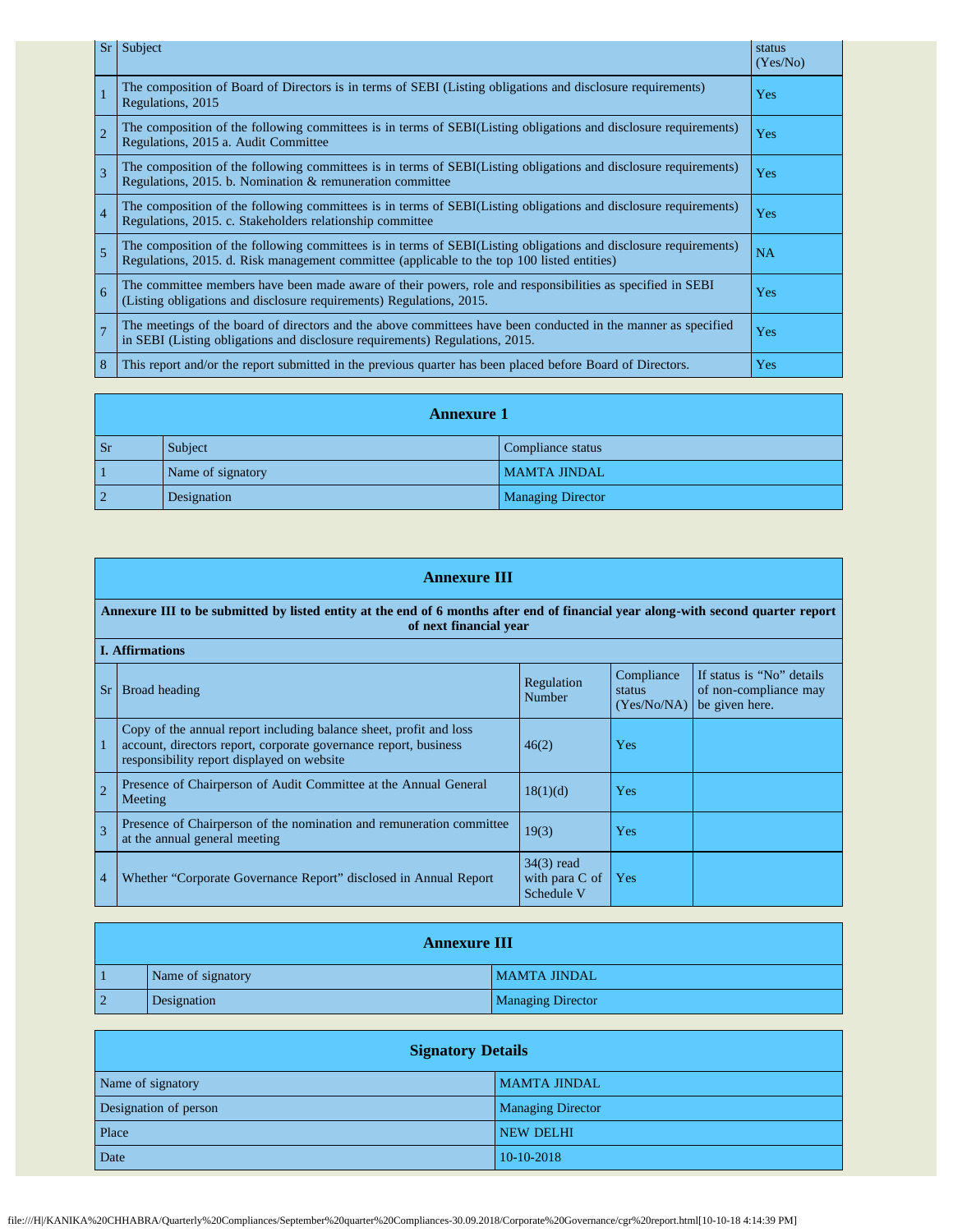| Sr             | Subject                                                                                                                                                                                                         | status<br>(Yes/No) |
|----------------|-----------------------------------------------------------------------------------------------------------------------------------------------------------------------------------------------------------------|--------------------|
| $\overline{1}$ | The composition of Board of Directors is in terms of SEBI (Listing obligations and disclosure requirements)<br>Regulations, 2015                                                                                | Yes                |
| $\overline{2}$ | The composition of the following committees is in terms of SEBI(Listing obligations and disclosure requirements)<br>Regulations, 2015 a. Audit Committee                                                        | Yes                |
| $\overline{3}$ | The composition of the following committees is in terms of SEBI(Listing obligations and disclosure requirements)<br>Regulations, 2015. b. Nomination & remuneration committee                                   | Yes                |
| $\overline{4}$ | The composition of the following committees is in terms of SEBI(Listing obligations and disclosure requirements)<br>Regulations, 2015. c. Stakeholders relationship committee                                   | Yes                |
| $\overline{5}$ | The composition of the following committees is in terms of SEBI(Listing obligations and disclosure requirements)<br>Regulations, 2015. d. Risk management committee (applicable to the top 100 listed entities) | NA                 |
| 6              | The committee members have been made aware of their powers, role and responsibilities as specified in SEBI<br>(Listing obligations and disclosure requirements) Regulations, 2015.                              | Yes                |
| $\overline{7}$ | The meetings of the board of directors and the above committees have been conducted in the manner as specified<br>in SEBI (Listing obligations and disclosure requirements) Regulations, 2015.                  | Yes                |
| $\overline{8}$ | This report and/or the report submitted in the previous quarter has been placed before Board of Directors.                                                                                                      | <b>Yes</b>         |

| <b>Annexure 1</b> |                   |                          |
|-------------------|-------------------|--------------------------|
| <b>Sr</b>         | Subject           | Compliance status        |
|                   | Name of signatory | <b>MAMTA JINDAL</b>      |
| $\overline{2}$    | Designation       | <b>Managing Director</b> |

|                                                                                                                                                             | <b>Annexure III</b>                                                                                                                                                                  |                                              |                                     |                                                                      |
|-------------------------------------------------------------------------------------------------------------------------------------------------------------|--------------------------------------------------------------------------------------------------------------------------------------------------------------------------------------|----------------------------------------------|-------------------------------------|----------------------------------------------------------------------|
| Annexure III to be submitted by listed entity at the end of 6 months after end of financial year along-with second quarter report<br>of next financial year |                                                                                                                                                                                      |                                              |                                     |                                                                      |
|                                                                                                                                                             | <b>I.</b> Affirmations                                                                                                                                                               |                                              |                                     |                                                                      |
| <b>Sr</b>                                                                                                                                                   | Broad heading                                                                                                                                                                        | Regulation<br><b>Number</b>                  | Compliance<br>status<br>(Yes/No/NA) | If status is "No" details<br>of non-compliance may<br>be given here. |
|                                                                                                                                                             | Copy of the annual report including balance sheet, profit and loss<br>account, directors report, corporate governance report, business<br>responsibility report displayed on website | 46(2)                                        | <b>Yes</b>                          |                                                                      |
| $\overline{c}$                                                                                                                                              | Presence of Chairperson of Audit Committee at the Annual General<br>Meeting                                                                                                          | 18(1)(d)                                     | <b>Yes</b>                          |                                                                      |
| 3                                                                                                                                                           | Presence of Chairperson of the nomination and remuneration committee<br>at the annual general meeting                                                                                | 19(3)                                        | <b>Yes</b>                          |                                                                      |
| $\overline{4}$                                                                                                                                              | Whether "Corporate Governance Report" disclosed in Annual Report                                                                                                                     | $34(3)$ read<br>with para C of<br>Schedule V | Yes                                 |                                                                      |

|    | <b>Annexure III</b> |                          |  |
|----|---------------------|--------------------------|--|
| -1 | Name of signatory   | <b>MAMTA JINDAL</b>      |  |
| 2  | Designation         | <b>Managing Director</b> |  |

| <b>Signatory Details</b> |                          |  |
|--------------------------|--------------------------|--|
| Name of signatory        | <b>MAMTA JINDAL</b>      |  |
| Designation of person    | <b>Managing Director</b> |  |
| Place                    | <b>NEW DELHI</b>         |  |
| Date                     | 10-10-2018               |  |